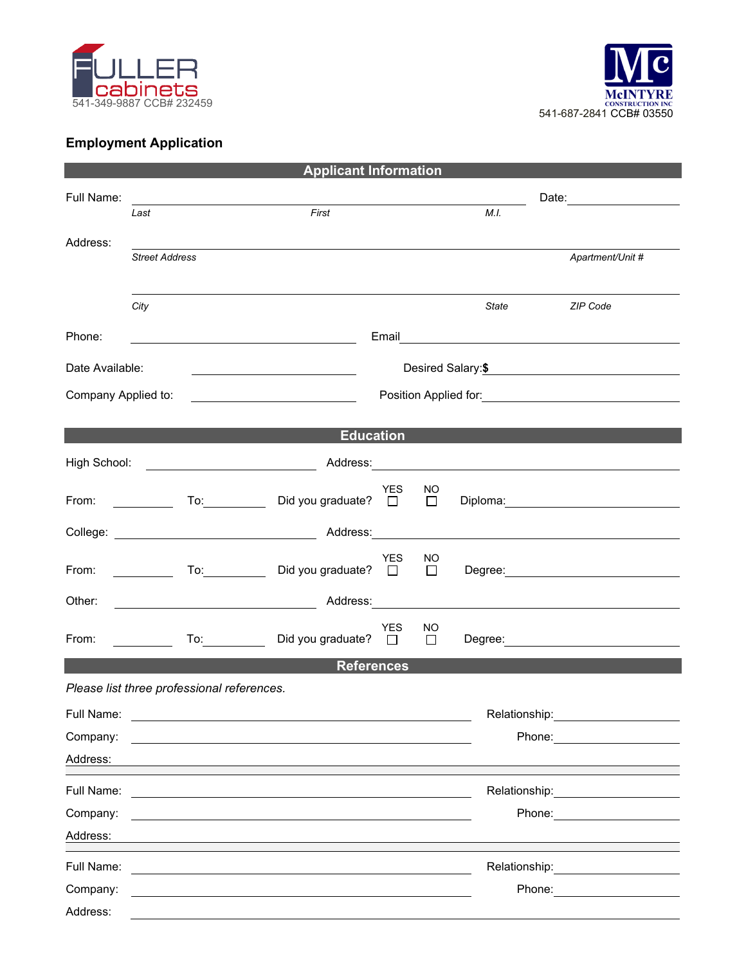



## **Employment Application**

| <b>Applicant Information</b>                                         |                                                                                                                                                                                                                                                                                               |                     |                                                                                                                       |                    |            |              |               |                                                                                                                                                                                                                                                          |  |
|----------------------------------------------------------------------|-----------------------------------------------------------------------------------------------------------------------------------------------------------------------------------------------------------------------------------------------------------------------------------------------|---------------------|-----------------------------------------------------------------------------------------------------------------------|--------------------|------------|--------------|---------------|----------------------------------------------------------------------------------------------------------------------------------------------------------------------------------------------------------------------------------------------------------|--|
| Full Name:                                                           |                                                                                                                                                                                                                                                                                               |                     |                                                                                                                       |                    | Date: 2008 |              |               |                                                                                                                                                                                                                                                          |  |
|                                                                      | First<br>Last                                                                                                                                                                                                                                                                                 |                     |                                                                                                                       |                    | M.I.       |              |               |                                                                                                                                                                                                                                                          |  |
| Address:                                                             | <b>Street Address</b>                                                                                                                                                                                                                                                                         |                     |                                                                                                                       |                    |            |              |               | Apartment/Unit #                                                                                                                                                                                                                                         |  |
|                                                                      | City                                                                                                                                                                                                                                                                                          |                     |                                                                                                                       |                    |            |              | State         | <b>ZIP Code</b>                                                                                                                                                                                                                                          |  |
| Phone:                                                               |                                                                                                                                                                                                                                                                                               |                     | <u> 1989 - Johann Barbara, martin amerikan basar dan basa dan basa dan basa dalam basa dalam basa dalam basa dala</u> |                    | Email      |              |               | <u> 1989 - Johann Stein, fransk politiker (d. 1989)</u>                                                                                                                                                                                                  |  |
| Date Available:<br><u> 1989 - Johann Barbara, martin amerikan ba</u> |                                                                                                                                                                                                                                                                                               |                     |                                                                                                                       | Desired Salary: \$ |            |              |               |                                                                                                                                                                                                                                                          |  |
| Company Applied to:                                                  |                                                                                                                                                                                                                                                                                               |                     |                                                                                                                       |                    |            |              |               |                                                                                                                                                                                                                                                          |  |
|                                                                      |                                                                                                                                                                                                                                                                                               |                     |                                                                                                                       | <b>Education</b>   |            |              |               |                                                                                                                                                                                                                                                          |  |
|                                                                      |                                                                                                                                                                                                                                                                                               |                     |                                                                                                                       |                    |            |              |               |                                                                                                                                                                                                                                                          |  |
| From:                                                                |                                                                                                                                                                                                                                                                                               |                     | To: Did you graduate? $\square$                                                                                       |                    | YES        | NO.          |               | Diploma: <u>___________________________</u>                                                                                                                                                                                                              |  |
|                                                                      |                                                                                                                                                                                                                                                                                               |                     |                                                                                                                       |                    |            |              |               |                                                                                                                                                                                                                                                          |  |
| From:                                                                | $\frac{1}{2}$ and $\frac{1}{2}$ and $\frac{1}{2}$ and $\frac{1}{2}$ and $\frac{1}{2}$ and $\frac{1}{2}$ and $\frac{1}{2}$ and $\frac{1}{2}$ and $\frac{1}{2}$ and $\frac{1}{2}$ and $\frac{1}{2}$ and $\frac{1}{2}$ and $\frac{1}{2}$ and $\frac{1}{2}$ and $\frac{1}{2}$ and $\frac{1}{2}$ a | $\overline{a}$      | Did you graduate? $\Box$                                                                                              |                    | <b>YES</b> | NO<br>$\Box$ |               |                                                                                                                                                                                                                                                          |  |
| Other:                                                               |                                                                                                                                                                                                                                                                                               |                     |                                                                                                                       |                    |            |              |               | <u>and the contract of a set of the contract of the contract of the contract of the contract of the contract of the contract of the contract of the contract of the contract of the contract of the contract of the contract of </u>                     |  |
| From:                                                                |                                                                                                                                                                                                                                                                                               | To: $\qquad \qquad$ | Did you graduate? $\square$                                                                                           |                    | <b>YES</b> | NO<br>$\Box$ |               |                                                                                                                                                                                                                                                          |  |
| <b>References</b>                                                    |                                                                                                                                                                                                                                                                                               |                     |                                                                                                                       |                    |            |              |               |                                                                                                                                                                                                                                                          |  |
| Please list three professional references.<br>Full Name:<br>Company: |                                                                                                                                                                                                                                                                                               |                     |                                                                                                                       |                    |            |              | Relationship: | Phone:<br><u> 1990 - Jan Jawa Barat, prima prima prima prima prima prima prima prima prima prima prima prima prima prima p</u>                                                                                                                           |  |
| Address:                                                             |                                                                                                                                                                                                                                                                                               |                     |                                                                                                                       |                    |            |              |               |                                                                                                                                                                                                                                                          |  |
| Full Name:<br>Company:<br>Address:                                   |                                                                                                                                                                                                                                                                                               |                     |                                                                                                                       |                    |            |              | Relationship: | Phone:                                                                                                                                                                                                                                                   |  |
| Full Name:<br>Company:<br>Address:                                   |                                                                                                                                                                                                                                                                                               |                     |                                                                                                                       |                    |            |              |               | Relationship: Network of the settlement of the settlement of the settlement of the settlement of the settlement of the settlement of the settlement of the settlement of the settlement of the settlement of the settlement of<br>Phone: <u>________</u> |  |